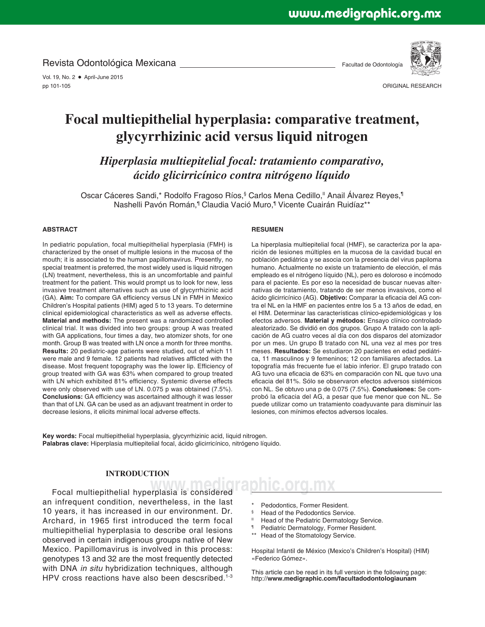Revista Odontológica Mexicana

Vol. 19, No. 2 · April-June 2015 pp 101-105

Facultad de Odontología



ORIGINAL RESEARCH

# **Focal multiepithelial hyperplasia: comparative treatment, glycyrrhizinic acid versus liquid nitrogen**

*Hiperplasia multiepitelial focal: tratamiento comparativo, ácido glicirricínico contra nitrógeno líquido*

Oscar Cáceres Sandi,\* Rodolfo Fragoso Ríos,§ Carlos Mena Cedillo,II Anail Álvarez Reyes,¶ Nashelli Pavón Román,<sup>¶</sup> Claudia Vació Muro,¶ Vicente Cuairán Ruidíaz\*\*

#### **ABSTRACT**

In pediatric population, focal multiepithelial hyperplasia (FMH) is characterized by the onset of multiple lesions in the mucosa of the mouth; it is associated to the human papillomavirus. Presently, no special treatment is preferred, the most widely used is liquid nitrogen (LN) treatment, nevertheless, this is an uncomfortable and painful treatment for the patient. This would prompt us to look for new, less invasive treatment alternatives such as use of glycyrrhizinic acid (GA). Aim: To compare GA efficiency versus LN in FMH in Mexico Children's Hospital patients (HIM) aged 5 to 13 years. To determine clinical epidemiological characteristics as well as adverse effects. **Material and methods:** The present was a randomized controlled clinical trial. It was divided into two groups: group A was treated with GA applications, four times a day, two atomizer shots, for one month. Group B was treated with LN once a month for three months. **Results:** 20 pediatric-age patients were studied, out of which 11 were male and 9 female. 12 patients had relatives afflicted with the disease. Most frequent topography was the lower lip. Efficiency of group treated with GA was 63% when compared to group treated with LN which exhibited 81% efficiency. Systemic diverse effects were only observed with use of LN. 0.075 p was obtained (7.5%). **Conclusions:** GA efficiency was ascertained although it was lesser than that of LN. GA can be used as an adjuvant treatment in order to decrease lesions, it elicits minimal local adverse effects.

#### **RESUMEN**

La hiperplasia multiepitelial focal (HMF), se caracteriza por la aparición de lesiones múltiples en la mucosa de la cavidad bucal en población pediátrica y se asocia con la presencia del virus papiloma humano. Actualmente no existe un tratamiento de elección, el más empleado es el nitrógeno líquido (NL), pero es doloroso e incómodo para el paciente. Es por eso la necesidad de buscar nuevas alternativas de tratamiento, tratando de ser menos invasivos, como el ácido glicirricínico (AG). Objetivo: Comparar la eficacia del AG contra el NL en la HMF en pacientes entre los 5 a 13 años de edad, en el HIM. Determinar las características clínico-epidemiológicas y los efectos adversos. **Material y métodos:** Ensayo clínico controlado aleatorizado. Se dividió en dos grupos. Grupo A tratado con la aplicación de AG cuatro veces al día con dos disparos del atomizador por un mes. Un grupo B tratado con NL una vez al mes por tres meses. **Resultados:** Se estudiaron 20 pacientes en edad pediátrica, 11 masculinos y 9 femeninos; 12 con familiares afectados. La topografía más frecuente fue el labio inferior. El grupo tratado con AG tuvo una eficacia de 63% en comparación con NL que tuvo una eficacia del 81%. Sólo se observaron efectos adversos sistémicos con NL. Se obtuvo una p de 0.075 (7.5%). **Conclusiones:** Se comprobó la eficacia del AG, a pesar que fue menor que con NL. Se puede utilizar como un tratamiento coadyuvante para disminuir las lesiones, con mínimos efectos adversos locales.

**Key words:** Focal multiepithelial hyperplasia, glycyrrhizinic acid, liquid nitrogen. **Palabras clave:** Hiperplasia multiepitelial focal, ácido glicirricínico, nitrógeno líquido.

# **INTRODUCTION**

Focal multiepithelial hyperplasia is considered **Family C.O. C. MX** an infrequent condition, nevertheless, in the last 10 years, it has increased in our environment. Dr. Archard, in 1965 first introduced the term focal multiepithelial hyperplasia to describe oral lesions observed in certain indigenous groups native of New Mexico. Papillomavirus is involved in this process: genotypes 13 and 32 are the most frequently detected with DNA *in situ* hybridization techniques, although HPV cross reactions have also been descsribed.<sup>1-3</sup>

- Pedodontics, Former Resident.
- § Head of the Pedodontics Service.
- <sup>II</sup> Head of the Pediatric Dermatology Service.
- ¶ Pediatric Dermatology, Former Resident.
- Head of the Stomatology Service.

Hospital Infantil de México (Mexico's Children's Hospital) (HIM) «Federico Gómez».

This article can be read in its full version in the following page: http://**www.medigraphic.com/facultadodontologiaunam**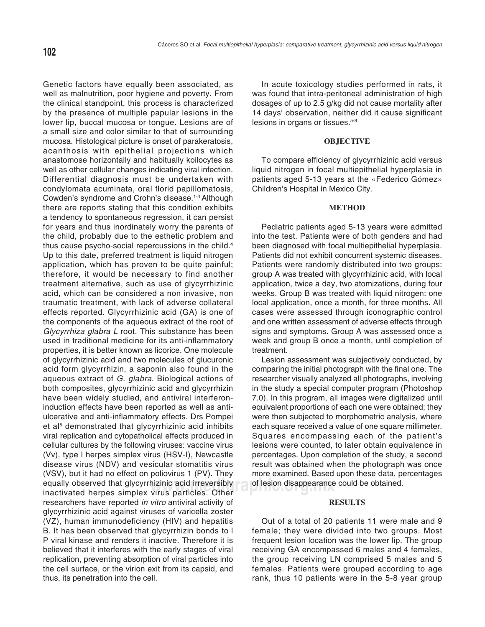Genetic factors have equally been associated, as well as malnutrition, poor hygiene and poverty. From the clinical standpoint, this process is characterized by the presence of multiple papular lesions in the lower lip, buccal mucosa or tongue. Lesions are of a small size and color similar to that of surrounding mucosa. Histological picture is onset of parakeratosis, acanthosis with epithelial projections which anastomose horizontally and habitually koilocytes as well as other cellular changes indicating viral infection. Differential diagnosis must be undertaken with condylomata acuminata, oral florid papillomatosis, Cowden's syndrome and Crohn's disease.<sup>1-3</sup> Although there are reports stating that this condition exhibits a tendency to spontaneous regression, it can persist for years and thus inordinately worry the parents of the child, probably due to the esthetic problem and thus cause psycho-social repercussions in the child.4 Up to this date, preferred treatment is liquid nitrogen application, which has proven to be quite painful; therefore, it would be necessary to find another treatment alternative, such as use of glycyrrhizinic acid, which can be considered a non invasive, non traumatic treatment, with lack of adverse collateral effects reported. Glycyrrhizinic acid (GA) is one of the components of the aqueous extract of the root of *Glycyrrhiza glabra L* root. This substance has been used in traditional medicine for its anti-inflammatory properties, it is better known as licorice. One molecule of glycyrrhizinic acid and two molecules of glucuronic acid form glycyrrhizin, a saponin also found in the aqueous extract of *G. glabra*. Biological actions of both composites, glycyrrhizinic acid and glycyrrhizin have been widely studied, and antiviral interferoninduction effects have been reported as well as antiulcerative and anti-inflammatory effects. Drs Pompei et al<sup>5</sup> demonstrated that glycyrrhizinic acid inhibits viral replication and cytopatholical effects produced in cellular cultures by the following viruses: vaccine virus (Vv), type I herpes simplex virus (HSV-I), Newcastle disease virus (NDV) and vesicular stomatitis virus (VSV), but it had no effect on poliovirus 1 (PV). They equally observed that glycyrrhizinic acid irreversibly inactivated herpes simplex virus particles. Other researchers have reported *in vitro* antiviral activity of glycyrrhizinic acid against viruses of varicella zoster (VZ), human immunodeficiency (HIV) and hepatitis B. It has been observed that glycyrrhizin bonds to l P viral kinase and renders it inactive. Therefore it is believed that it interferes with the early stages of viral replication, preventing absorption of viral particles into the cell surface, or the virion exit from its capsid, and thus, its penetration into the cell.

In acute toxicology studies performed in rats, it was found that intra-peritoneal administration of high dosages of up to 2.5 g/kg did not cause mortality after 14 days' observation, neither did it cause significant lesions in organs or tissues.<sup>5-8</sup>

### **OBJECTIVE**

To compare efficiency of glycyrrhizinic acid versus liquid nitrogen in focal multiepithelial hyperplasia in patients aged 5-13 years at the «Federico Gómez» Children's Hospital in Mexico City.

# **METHOD**

Pediatric patients aged 5-13 years were admitted into the test. Patients were of both genders and had been diagnosed with focal multiepithelial hyperplasia. Patients did not exhibit concurrent systemic diseases. Patients were randomly distributed into two groups: group A was treated with glycyrrhizinic acid, with local application, twice a day, two atomizations, during four weeks. Group B was treated with liquid nitrogen: one local application, once a month, for three months. All cases were assessed through iconographic control and one written assessment of adverse effects through signs and symptoms. Group A was assessed once a week and group B once a month, until completion of treatment.

hizinic acid irreversibly cof lesion disappearance could be obtained.<br>Virus particles, Other Lesion assessment was subjectively conducted, by comparing the initial photograph with the final one. The researcher visually analyzed all photographs, involving in the study a special computer program (Photoshop 7.0). In this program, all images were digitalized until equivalent proportions of each one were obtained; they were then subjected to morphometric analysis, where each square received a value of one square millimeter. Squares encompassing each of the patient's lesions were counted, to later obtain equivalence in percentages. Upon completion of the study, a second result was obtained when the photograph was once more examined. Based upon these data, percentages

#### **RESULTS**

Out of a total of 20 patients 11 were male and 9 female; they were divided into two groups. Most frequent lesion location was the lower lip. The group receiving GA encompassed 6 males and 4 females, the group receiving LN comprised 5 males and 5 females. Patients were grouped according to age rank, thus 10 patients were in the 5-8 year group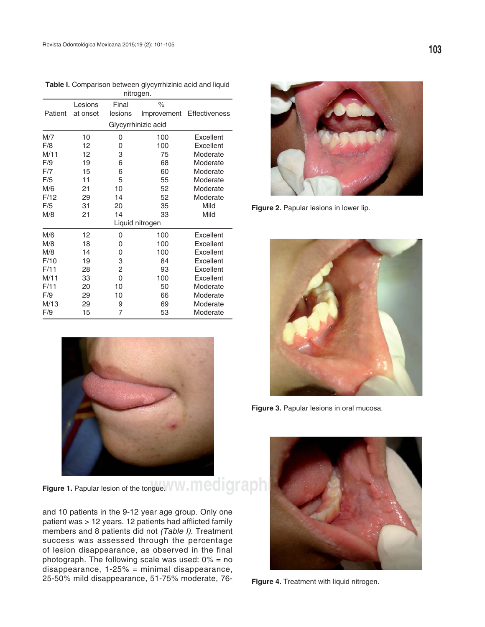| nitrogen.           |          |         |             |               |  |  |
|---------------------|----------|---------|-------------|---------------|--|--|
|                     | Lesions  | Final   | %           |               |  |  |
| Patient             | at onset | lesions | Improvement | Effectiveness |  |  |
| Glycyrrhinizic acid |          |         |             |               |  |  |
| M/7                 | 10       | 0       | 100         | Excellent     |  |  |
| F/8                 | 12       | 0       | 100         | Excellent     |  |  |
| M/11                | 12       | 3       | 75          | Moderate      |  |  |
| F/9                 | 19       | 6       | 68          | Moderate      |  |  |
| F/7                 | 15       | 6       | 60          | Moderate      |  |  |
| F/5                 | 11       | 5       | 55          | Moderate      |  |  |
| M/6                 | 21       | 10      | 52          | Moderate      |  |  |
| F/12                | 29       | 14      | 52          | Moderate      |  |  |
| F/5                 | 31       | 20      | 35          | Mild          |  |  |
| M/8                 | 21       | 14      | 33          | Mild          |  |  |
| Liquid nitrogen     |          |         |             |               |  |  |
| M/6                 | 12       | 0       | 100         | Excellent     |  |  |
| M/8                 | 18       | 0       | 100         | Excellent     |  |  |
| M/8                 | 14       | 0       | 100         | Excellent     |  |  |
| F/10                | 19       | 3       | 84          | Excellent     |  |  |
| F/11                | 28       | 2       | 93          | Excellent     |  |  |
| M/11                | 33       | 0       | 100         | Excellent     |  |  |
| F/11                | 20       | 10      | 50          | Moderate      |  |  |
| F/9                 | 29       | 10      | 66          | Moderate      |  |  |
| M/13                | 29       | 9       | 69          | Moderate      |  |  |
| F/9                 | 15       | 7       | 53          | Moderate      |  |  |





Figure 2. Papular lesions in lower lip.



Figure 3. Papular lesions in oral mucosa.

**Figure 1.** Papular lesion of the tongue. W. Medigraphic.  $\blacksquare$ 

and 10 patients in the 9-12 year age group. Only one patient was > 12 years. 12 patients had afflicted family members and 8 patients did not *(Table I)*. Treatment success was assessed through the percentage of lesion disappearance, as observed in the final photograph. The following scale was used:  $0\% =$  no disappearance, 1-25% = minimal disappearance, 25-50% mild disappearance, 51-75% moderate, 76-

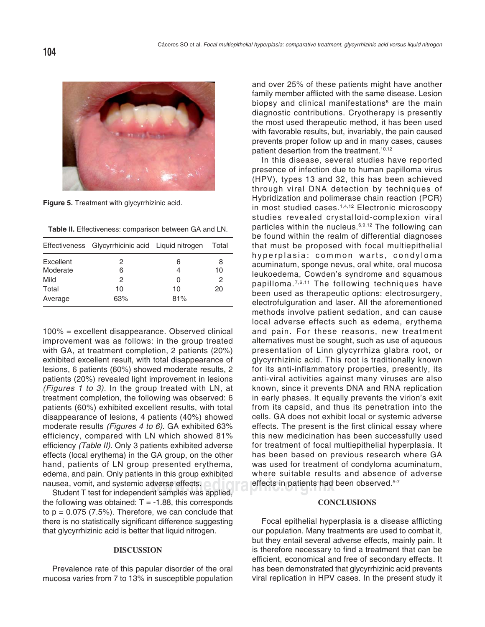

**Figure 5.** Treatment with glycyrrhizinic acid.

**Table II.** Effectiveness: comparison between GA and LN.

|           | Effectiveness Glycyrrhicinic acid Liquid nitrogen |     | Total |
|-----------|---------------------------------------------------|-----|-------|
| Excellent | 2                                                 | 6   | 8     |
| Moderate  | 6                                                 | 4   | 10    |
| Mild      | 2                                                 | 0   | 2     |
| Total     | 10                                                | 10  | 20    |
| Average   | 63%                                               | 81% |       |

100% = excellent disappearance. Observed clinical improvement was as follows: in the group treated with GA, at treatment completion, 2 patients (20%) exhibited excellent result, with total disappearance of lesions, 6 patients (60%) showed moderate results, 2 patients (20%) revealed light improvement in lesions *(Figures 1 to 3)*. In the group treated with LN, at treatment completion, the following was observed: 6 patients (60%) exhibited excellent results, with total disappearance of lesions, 4 patients (40%) showed moderate results *(Figures 4 to 6)*. GA exhibited 63% efficiency, compared with LN which showed 81% efficiency *(Table II)*. Only 3 patients exhibited adverse effects (local erythema) in the GA group, on the other hand, patients of LN group presented erythema, edema, and pain. Only patients in this group exhibited nausea, vomit, and systemic adverse effects.

Student T test for independent samples was applied, the following was obtained:  $T = -1.88$ , this corresponds to  $p = 0.075$  (7.5%). Therefore, we can conclude that there is no statistically significant difference suggesting that glycyrrhizinic acid is better that liquid nitrogen.

## **DISCUSSION**

Prevalence rate of this papular disorder of the oral mucosa varies from 7 to 13% in susceptible population

biopsy and clinical manifestations<sup>8</sup> are the main and over 25% of these patients might have another family member afflicted with the same disease. Lesion diagnostic contributions. Cryotherapy is presently the most used therapeutic method, it has been used with favorable results, but, invariably, the pain caused prevents proper follow up and in many cases, causes patient desertion from the treatment.<sup>10,12</sup>

dverse effects.<br>nt samples was applied. In this disease, several studies have reported presence of infection due to human papilloma virus (HPV), types 13 and 32, this has been achieved through viral DNA detection by techniques of Hybridization and polimerase chain reaction (PCR) in most studied cases.<sup>1,4,12</sup> Electronic microscopy studies revealed crystalloid-complexion viral particles within the nucleus.<sup>6,9,12</sup> The following can be found within the realm of differential diagnoses that must be proposed with focal multiepithelial hyperplasia: common warts, condyloma acuminatum, sponge nevus, oral white, oral mucosa leukoedema, Cowden's syndrome and squamous papilloma. 7,6,11 The following techniques have been used as therapeutic options: electrosurgery, electrofulguration and laser. All the aforementioned methods involve patient sedation, and can cause local adverse effects such as edema, erythema and pain. For these reasons, new treatment alternatives must be sought, such as use of aqueous presentation of Linn glycyrrhiza glabra root, or glycyrrhizinic acid. This root is traditionally known for its anti-inflammatory properties, presently, its anti-viral activities against many viruses are also known, since it prevents DNA and RNA replication in early phases. It equally prevents the virion's exit from its capsid, and thus its penetration into the cells. GA does not exhibit local or systemic adverse effects. The present is the first clinical essay where this new medicination has been successfully used for treatment of focal multiepithelial hyperplasia. It has been based on previous research where GA was used for treatment of condyloma acuminatum, where suitable results and absence of adverse

## **CONCLUSIONS**

Focal epithelial hyperplasia is a disease afflicting our population. Many treatments are used to combat it, but they entail several adverse effects, mainly pain. It is therefore necessary to find a treatment that can be efficient, economical and free of secondary effects. It has been demonstrated that glycyrrhizinic acid prevents viral replication in HPV cases. In the present study it